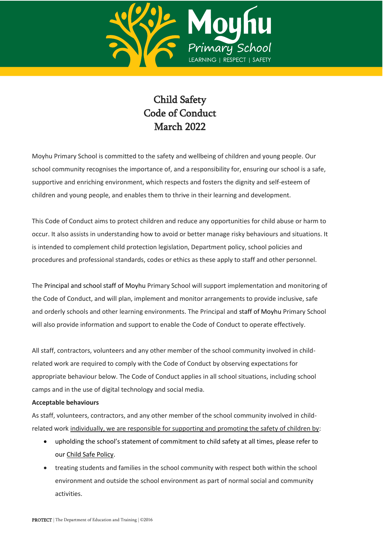

## Child Safety Code of Conduct March 2022

Moyhu Primary School is committed to the safety and wellbeing of children and young people. Our school community recognises the importance of, and a responsibility for, ensuring our school is a safe, supportive and enriching environment, which respects and fosters the dignity and self-esteem of children and young people, and enables them to thrive in their learning and development.

This Code of Conduct aims to protect children and reduce any opportunities for child abuse or harm to occur. It also assists in understanding how to avoid or better manage risky behaviours and situations. It is intended to complement child protection legislation, Department policy, school policies and procedures and professional standards, codes or ethics as these apply to staff and other personnel.

The Principal and school staff of Moyhu Primary School will support implementation and monitoring of the Code of Conduct, and will plan, implement and monitor arrangements to provide inclusive, safe and orderly schools and other learning environments. The Principal and staff of Moyhu Primary School will also provide information and support to enable the Code of Conduct to operate effectively.

All staff, contractors, volunteers and any other member of the school community involved in childrelated work are required to comply with the Code of Conduct by observing expectations for appropriate behaviour below. The Code of Conduct applies in all school situations, including school camps and in the use of digital technology and social media.

## **Acceptable behaviours**

As staff, volunteers, contractors, and any other member of the school community involved in childrelated work individually, we are responsible for supporting and promoting the safety of children by:

- upholding the school's statement of commitment to child safety at all times, please refer to ou[r Child Safe Policy.](http://moyhups.vic.edu.au/child-safe-school-policies/)
- treating students and families in the school community with respect both within the school environment and outside the school environment as part of normal social and community activities.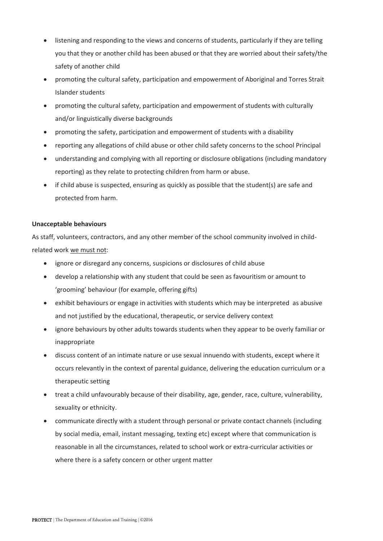- listening and responding to the views and concerns of students, particularly if they are telling you that they or another child has been abused or that they are worried about their safety/the safety of another child
- promoting the cultural safety, participation and empowerment of Aboriginal and Torres Strait Islander students
- promoting the cultural safety, participation and empowerment of students with culturally and/or linguistically diverse backgrounds
- promoting the safety, participation and empowerment of students with a disability
- reporting any allegations of child abuse or other child safety concerns to the school Principal
- understanding and complying with all reporting or disclosure obligations (including mandatory reporting) as they relate to protecting children from harm or abuse.
- if child abuse is suspected, ensuring as quickly as possible that the student(s) are safe and protected from harm.

## **Unacceptable behaviours**

As staff, volunteers, contractors, and any other member of the school community involved in childrelated work we must not:

- ignore or disregard any concerns, suspicions or disclosures of child abuse
- develop a relationship with any student that could be seen as favouritism or amount to 'grooming' behaviour (for example, offering gifts)
- exhibit behaviours or engage in activities with students which may be interpreted as abusive and not justified by the educational, therapeutic, or service delivery context
- ignore behaviours by other adults towards students when they appear to be overly familiar or inappropriate
- discuss content of an intimate nature or use sexual innuendo with students, except where it occurs relevantly in the context of parental guidance, delivering the education curriculum or a therapeutic setting
- treat a child unfavourably because of their disability, age, gender, race, culture, vulnerability, sexuality or ethnicity.
- communicate directly with a student through personal or private contact channels (including by social media, email, instant messaging, texting etc) except where that communication is reasonable in all the circumstances, related to school work or extra-curricular activities or where there is a safety concern or other urgent matter